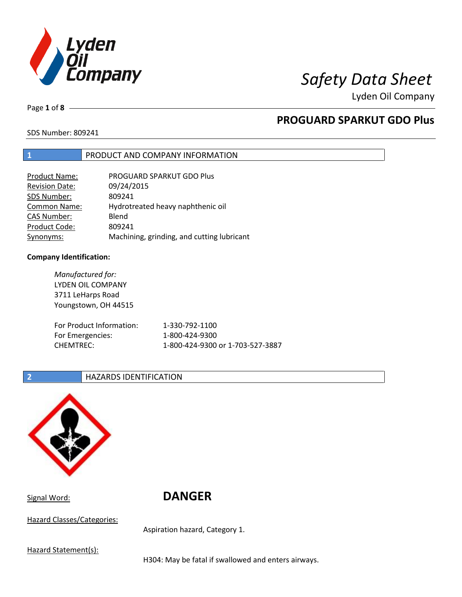

Page **1** of **8**

# **PROGUARD SPARKUT GDO Plus**

SDS Number: 809241

### **1** PRODUCT AND COMPANY INFORMATION

| <b>Product Name:</b>  | PROGUARD SPARKUT GDO Plus                  |
|-----------------------|--------------------------------------------|
| <b>Revision Date:</b> | 09/24/2015                                 |
| SDS Number:           | 809241                                     |
| <b>Common Name:</b>   | Hydrotreated heavy naphthenic oil          |
| <b>CAS Number:</b>    | Blend                                      |
| Product Code:         | 809241                                     |
| Synonyms:             | Machining, grinding, and cutting lubricant |

### **Company Identification:**

*Manufactured for:* LYDEN OIL COMPANY 3711 LeHarps Road Youngstown, OH 44515 For Product Information: 1-330-792-1100 For Emergencies: 1-800-424-9300 CHEMTREC: 1-800-424-9300 or 1-703-527-3887

### **2 HAZARDS IDENTIFICATION**



Signal Word: **DANGER**

Hazard Classes/Categories:

Aspiration hazard, Category 1.

Hazard Statement(s):

H304: May be fatal if swallowed and enters airways.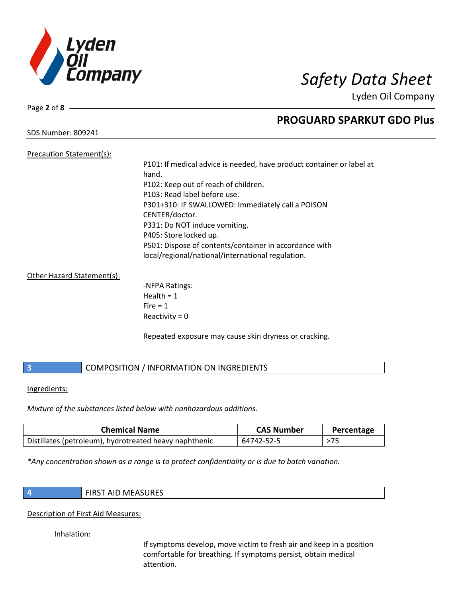

Page **2** of **8**

## **PROGUARD SPARKUT GDO Plus**

SDS Number: 809241

### Precaution Statement(s): P101: If medical advice is needed, have product container or label at hand. P102: Keep out of reach of children. P103: Read label before use. P301+310: IF SWALLOWED: Immediately call a POISON CENTER/doctor. P331: Do NOT induce vomiting. P405: Store locked up. P501: Dispose of contents/container in accordance with local/regional/national/international regulation.

### Other Hazard Statement(s):

-NFPA Ratings: Health  $= 1$  $Fire = 1$ Reactivity  $= 0$ 

Repeated exposure may cause skin dryness or cracking.

### **3** COMPOSITION / INFORMATION ON INGREDIENTS

Ingredients:

*Mixture of the substances listed below with nonhazardous additions.*

| <b>Chemical Name</b>                                   | <b>CAS Number</b> | Percentage |
|--------------------------------------------------------|-------------------|------------|
| Distillates (petroleum), hydrotreated heavy naphthenic | 64742-52-5        |            |

*\*Any concentration shown as a range is to protect confidentiality or is due to batch variation.*

|   | ۰. |  |
|---|----|--|
|   |    |  |
| . |    |  |
|   |    |  |
|   |    |  |

**4** FIRST AID MEASURES

### Description of First Aid Measures:

Inhalation:

If symptoms develop, move victim to fresh air and keep in a position comfortable for breathing. If symptoms persist, obtain medical attention.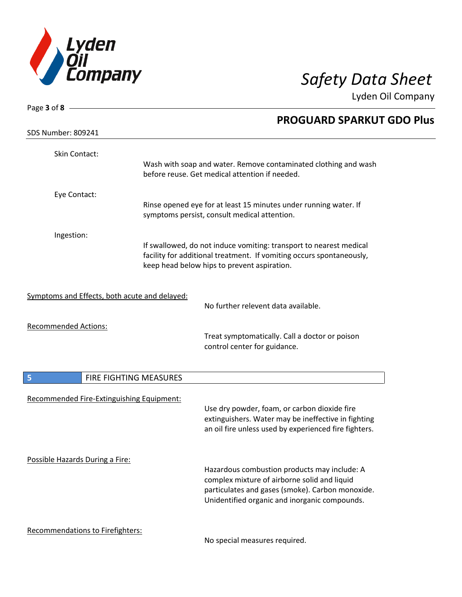

| Page 3 of 8 $-$                               |                        |                                                                                                                                                                                                   |
|-----------------------------------------------|------------------------|---------------------------------------------------------------------------------------------------------------------------------------------------------------------------------------------------|
|                                               |                        | <b>PROGUARD SPARKUT GDO Plus</b>                                                                                                                                                                  |
| <b>SDS Number: 809241</b>                     |                        |                                                                                                                                                                                                   |
| Skin Contact:                                 |                        | Wash with soap and water. Remove contaminated clothing and wash                                                                                                                                   |
|                                               |                        | before reuse. Get medical attention if needed.                                                                                                                                                    |
| Eye Contact:                                  |                        |                                                                                                                                                                                                   |
|                                               |                        | Rinse opened eye for at least 15 minutes under running water. If<br>symptoms persist, consult medical attention.                                                                                  |
| Ingestion:                                    |                        |                                                                                                                                                                                                   |
|                                               |                        | If swallowed, do not induce vomiting: transport to nearest medical<br>facility for additional treatment. If vomiting occurs spontaneously,<br>keep head below hips to prevent aspiration.         |
| Symptoms and Effects, both acute and delayed: |                        | No further relevent data available.                                                                                                                                                               |
| <b>Recommended Actions:</b>                   |                        |                                                                                                                                                                                                   |
|                                               |                        | Treat symptomatically. Call a doctor or poison<br>control center for guidance.                                                                                                                    |
| 5                                             | FIRE FIGHTING MEASURES |                                                                                                                                                                                                   |
| Recommended Fire-Extinguishing Equipment:     |                        | Use dry powder, foam, or carbon dioxide fire<br>extinguishers. Water may be ineffective in fighting<br>an oil fire unless used by experienced fire fighters.                                      |
| Possible Hazards During a Fire:               |                        | Hazardous combustion products may include: A<br>complex mixture of airborne solid and liquid<br>particulates and gases (smoke). Carbon monoxide.<br>Unidentified organic and inorganic compounds. |
| <b>Recommendations to Firefighters:</b>       |                        |                                                                                                                                                                                                   |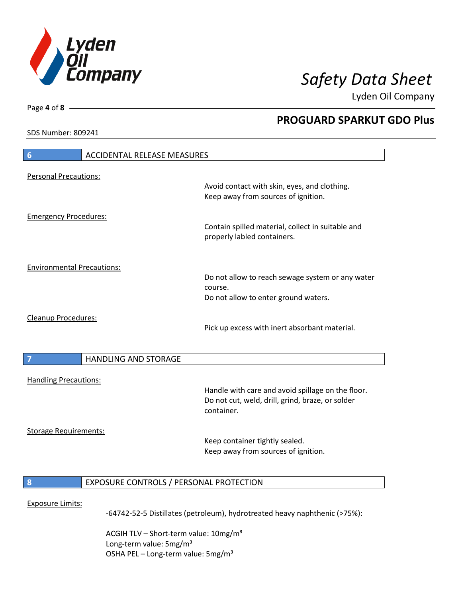

**PROGUARD SPARKUT GDO Plus**

Lyden Oil Company

SDS Number: 809241

Page **4** of **8**

# **6** ACCIDENTAL RELEASE MEASURES Personal Precautions: Avoid contact with skin, eyes, and clothing. Keep away from sources of ignition. Emergency Procedures: Contain spilled material, collect in suitable and properly labled containers. Environmental Precautions: Do not allow to reach sewage system or any water course. Do not allow to enter ground waters. Cleanup Procedures: Pick up excess with inert absorbant material. **7 HANDLING AND STORAGE** Handling Precautions: Handle with care and avoid spillage on the floor. Do not cut, weld, drill, grind, braze, or solder container. Storage Requirements: Keep container tightly sealed. Keep away from sources of ignition. **8** EXPOSURE CONTROLS / PERSONAL PROTECTION Exposure Limits: -64742-52-5 Distillates (petroleum), hydrotreated heavy naphthenic (>75%):

ACGIH TLV – Short-term value:  $10\,\text{mg/m}^3$ Long-term value: 5mg/m<sup>3</sup> OSHA PEL – Long-term value:  $5\,\text{mg/m}^3$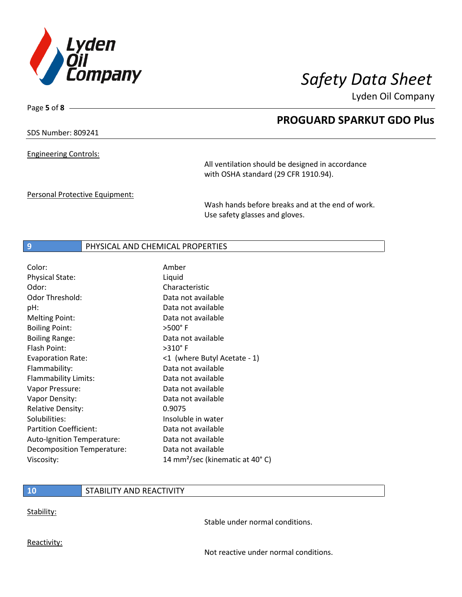

**PROGUARD SPARKUT GDO Plus**

Lyden Oil Company

SDS Number: 809241

Page **5** of **8**

Engineering Controls:

All ventilation should be designed in accordance with OSHA standard (29 CFR 1910.94).

Personal Protective Equipment:

Wash hands before breaks and at the end of work. Use safety glasses and gloves.

### **9 PHYSICAL AND CHEMICAL PROPERTIES**

| Color:                        | Amber                                       |
|-------------------------------|---------------------------------------------|
| <b>Physical State:</b>        | Liquid                                      |
| Odor:                         | Characteristic                              |
| Odor Threshold:               | Data not available                          |
| pH:                           | Data not available                          |
| <b>Melting Point:</b>         | Data not available                          |
| <b>Boiling Point:</b>         | $>500^\circ$ F                              |
| <b>Boiling Range:</b>         | Data not available                          |
| Flash Point:                  | $>310^\circ$ F                              |
| <b>Evaporation Rate:</b>      | <1 (where Butyl Acetate - 1)                |
| Flammability:                 | Data not available                          |
| Flammability Limits:          | Data not available                          |
| Vapor Pressure:               | Data not available                          |
| Vapor Density:                | Data not available                          |
| <b>Relative Density:</b>      | 0.9075                                      |
| Solubilities:                 | Insoluble in water                          |
| <b>Partition Coefficient:</b> | Data not available                          |
| Auto-Ignition Temperature:    | Data not available                          |
| Decomposition Temperature:    | Data not available                          |
| Viscosity:                    | 14 mm <sup>2</sup> /sec (kinematic at 40°C) |

### **10** STABILITY AND REACTIVITY

Stability:

Stable under normal conditions.

Reactivity:

Not reactive under normal conditions.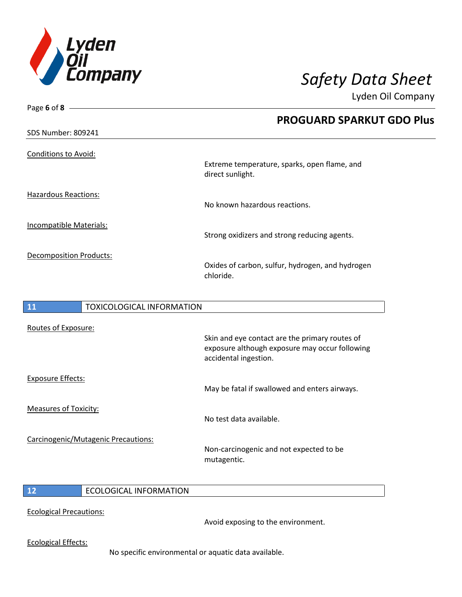

Page **6** of **8**

Lyden Oil Company

 $\overline{\phantom{a}}$ 

|                                | <b>PROGUARD SPARKUT GDO Plus</b>                                 |
|--------------------------------|------------------------------------------------------------------|
| <b>SDS Number: 809241</b>      |                                                                  |
| <b>Conditions to Avoid:</b>    | Extreme temperature, sparks, open flame, and<br>direct sunlight. |
| Hazardous Reactions:           | No known hazardous reactions.                                    |
| Incompatible Materials:        | Strong oxidizers and strong reducing agents.                     |
| <b>Decomposition Products:</b> | Oxides of carbon, sulfur, hydrogen, and hydrogen<br>chloride.    |
|                                |                                                                  |

| <b>11</b>                    | <b>TOXICOLOGICAL INFORMATION</b>    |                                                                                                                           |
|------------------------------|-------------------------------------|---------------------------------------------------------------------------------------------------------------------------|
| Routes of Exposure:          |                                     | Skin and eye contact are the primary routes of<br>exposure although exposure may occur following<br>accidental ingestion. |
| <b>Exposure Effects:</b>     |                                     | May be fatal if swallowed and enters airways.                                                                             |
| <b>Measures of Toxicity:</b> |                                     | No test data available.                                                                                                   |
|                              | Carcinogenic/Mutagenic Precautions: | Non-carcinogenic and not expected to be<br>mutagentic.                                                                    |
| $\mathbf{A}$                 | FCOLOGICAL INFODIAATIONI            |                                                                                                                           |

### **12** ECOLOGICAL INFORMATION

Ecological Precautions:

Avoid exposing to the environment.

Ecological Effects:

No specific environmental or aquatic data available.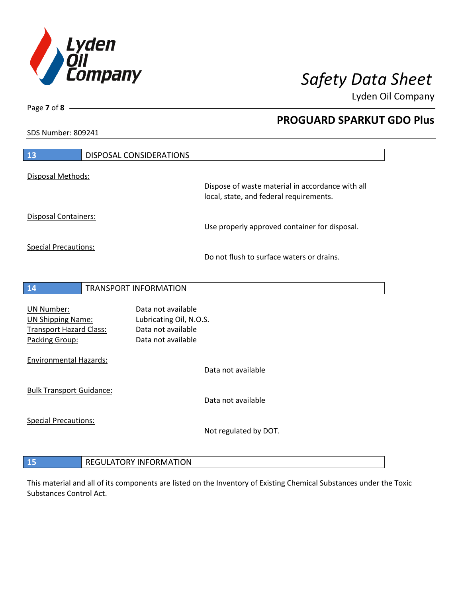

**PROGUARD SPARKUT GDO Plus**

Lyden Oil Company

SDS Number: 809241

Page **7** of **8**

 $\overline{\phantom{a}}$ 

| 13                                                                                                | <b>DISPOSAL CONSIDERATIONS</b>                                                            |                                                                                             |
|---------------------------------------------------------------------------------------------------|-------------------------------------------------------------------------------------------|---------------------------------------------------------------------------------------------|
| Disposal Methods:                                                                                 |                                                                                           |                                                                                             |
|                                                                                                   |                                                                                           | Dispose of waste material in accordance with all<br>local, state, and federal requirements. |
| Disposal Containers:                                                                              |                                                                                           |                                                                                             |
|                                                                                                   |                                                                                           | Use properly approved container for disposal.                                               |
| <b>Special Precautions:</b>                                                                       |                                                                                           | Do not flush to surface waters or drains.                                                   |
|                                                                                                   |                                                                                           |                                                                                             |
| 14                                                                                                | <b>TRANSPORT INFORMATION</b>                                                              |                                                                                             |
| <b>UN Number:</b><br><b>UN Shipping Name:</b><br><b>Transport Hazard Class:</b><br>Packing Group: | Data not available<br>Lubricating Oil, N.O.S.<br>Data not available<br>Data not available |                                                                                             |
| <b>Environmental Hazards:</b>                                                                     |                                                                                           | Data not available                                                                          |
| <b>Bulk Transport Guidance:</b>                                                                   |                                                                                           | Data not available                                                                          |
| <b>Special Precautions:</b>                                                                       |                                                                                           | Not regulated by DOT.                                                                       |
|                                                                                                   |                                                                                           |                                                                                             |

**15** REGULATORY INFORMATION

This material and all of its components are listed on the Inventory of Existing Chemical Substances under the Toxic Substances Control Act.